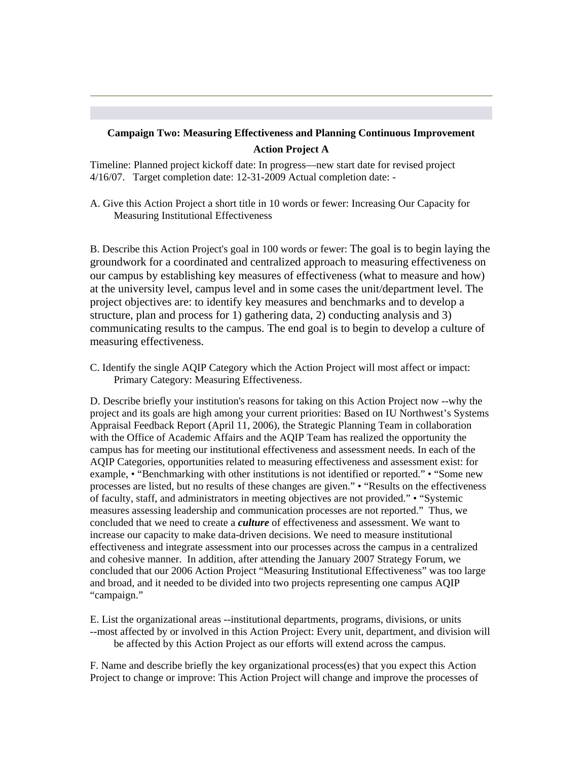# **Campaign Two: Measuring Effectiveness and Planning Continuous Improvement Action Project A**

Timeline: Planned project kickoff date: In progress—new start date for revised project 4/16/07. Target completion date: 12-31-2009 Actual completion date: -

A. Give this Action Project a short title in 10 words or fewer: Increasing Our Capacity for Measuring Institutional Effectiveness

B. Describe this Action Project's goal in 100 words or fewer: The goal is to begin laying the groundwork for a coordinated and centralized approach to measuring effectiveness on our campus by establishing key measures of effectiveness (what to measure and how) at the university level, campus level and in some cases the unit/department level. The project objectives are: to identify key measures and benchmarks and to develop a structure, plan and process for 1) gathering data, 2) conducting analysis and 3) communicating results to the campus. The end goal is to begin to develop a culture of measuring effectiveness.

C. Identify the single AQIP Category which the Action Project will most affect or impact: Primary Category: Measuring Effectiveness.

D. Describe briefly your institution's reasons for taking on this Action Project now --why the project and its goals are high among your current priorities: Based on IU Northwest's Systems Appraisal Feedback Report (April 11, 2006), the Strategic Planning Team in collaboration with the Office of Academic Affairs and the AQIP Team has realized the opportunity the campus has for meeting our institutional effectiveness and assessment needs. In each of the AQIP Categories, opportunities related to measuring effectiveness and assessment exist: for example, • "Benchmarking with other institutions is not identified or reported." • "Some new processes are listed, but no results of these changes are given." • "Results on the effectiveness of faculty, staff, and administrators in meeting objectives are not provided." • "Systemic measures assessing leadership and communication processes are not reported." Thus, we concluded that we need to create a *culture* of effectiveness and assessment. We want to increase our capacity to make data-driven decisions. We need to measure institutional effectiveness and integrate assessment into our processes across the campus in a centralized and cohesive manner. In addition, after attending the January 2007 Strategy Forum, we concluded that our 2006 Action Project "Measuring Institutional Effectiveness" was too large and broad, and it needed to be divided into two projects representing one campus AQIP "campaign."

E. List the organizational areas --institutional departments, programs, divisions, or units --most affected by or involved in this Action Project: Every unit, department, and division will be affected by this Action Project as our efforts will extend across the campus.

F. Name and describe briefly the key organizational process(es) that you expect this Action Project to change or improve: This Action Project will change and improve the processes of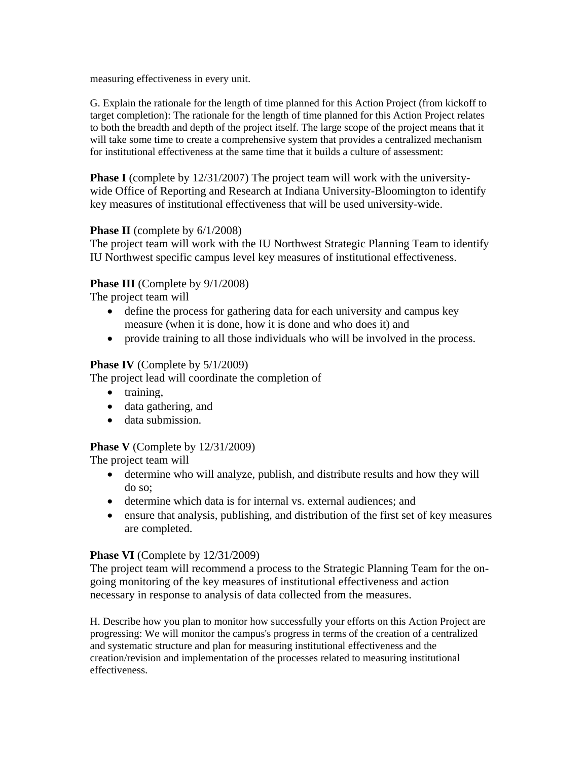measuring effectiveness in every unit.

G. Explain the rationale for the length of time planned for this Action Project (from kickoff to target completion): The rationale for the length of time planned for this Action Project relates to both the breadth and depth of the project itself. The large scope of the project means that it will take some time to create a comprehensive system that provides a centralized mechanism for institutional effectiveness at the same time that it builds a culture of assessment:

**Phase I** (complete by 12/31/2007) The project team will work with the universitywide Office of Reporting and Research at Indiana University-Bloomington to identify key measures of institutional effectiveness that will be used university-wide.

### **Phase II** (complete by  $6/1/2008$ )

The project team will work with the IU Northwest Strategic Planning Team to identify IU Northwest specific campus level key measures of institutional effectiveness.

# Phase III (Complete by  $9/1/2008$ )

The project team will

- define the process for gathering data for each university and campus key measure (when it is done, how it is done and who does it) and
- provide training to all those individuals who will be involved in the process.

### **Phase IV** (Complete by 5/1/2009)

The project lead will coordinate the completion of

- training,
- data gathering, and
- data submission.

# **Phase V** (Complete by 12/31/2009)

The project team will

- determine who will analyze, publish, and distribute results and how they will do so;
- determine which data is for internal vs. external audiences; and
- ensure that analysis, publishing, and distribution of the first set of key measures are completed.

#### **Phase VI** (Complete by  $12/31/2009$ )

The project team will recommend a process to the Strategic Planning Team for the ongoing monitoring of the key measures of institutional effectiveness and action necessary in response to analysis of data collected from the measures.

H. Describe how you plan to monitor how successfully your efforts on this Action Project are progressing: We will monitor the campus's progress in terms of the creation of a centralized and systematic structure and plan for measuring institutional effectiveness and the creation/revision and implementation of the processes related to measuring institutional effectiveness.